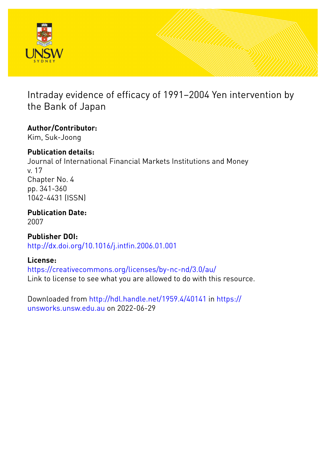

# Intraday evidence of efficacy of 1991–2004 Yen intervention by the Bank of Japan

# **Author/Contributor:**

Kim, Suk-Joong

# **Publication details:**

Journal of International Financial Markets Institutions and Money v. 17 Chapter No. 4 pp. 341-360 1042-4431 (ISSN)

**Publication Date:** 2007

**Publisher DOI:** [http://dx.doi.org/10.1016/j.intfin.2006.01.001](http://dx.doi.org/http://dx.doi.org/10.1016/j.intfin.2006.01.001)

# **License:**

<https://creativecommons.org/licenses/by-nc-nd/3.0/au/> Link to license to see what you are allowed to do with this resource.

Downloaded from <http://hdl.handle.net/1959.4/40141> in [https://](https://unsworks.unsw.edu.au) [unsworks.unsw.edu.au](https://unsworks.unsw.edu.au) on 2022-06-29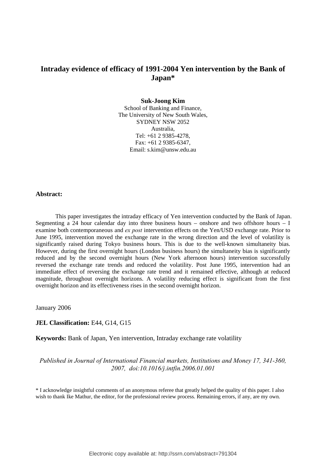## **Intraday evidence of efficacy of 1991-2004 Yen intervention by the Bank of Japan\***

#### **Suk-Joong Kim**

School of Banking and Finance, The University of New South Wales, SYDNEY NSW 2052 Australia, Tel: +61 2 9385-4278, Fax: +61 2 9385-6347, Email: s.kim@unsw.edu.au

#### **Abstract:**

This paper investigates the intraday efficacy of Yen intervention conducted by the Bank of Japan. Segmenting a 24 hour calendar day into three business hours – onshore and two offshore hours – I examine both contemporaneous and *ex post* intervention effects on the Yen/USD exchange rate. Prior to June 1995, intervention moved the exchange rate in the wrong direction and the level of volatility is significantly raised during Tokyo business hours. This is due to the well-known simultaneity bias. However, during the first overnight hours (London business hours) the simultaneity bias is significantly reduced and by the second overnight hours (New York afternoon hours) intervention successfully reversed the exchange rate trends and reduced the volatility. Post June 1995, intervention had an immediate effect of reversing the exchange rate trend and it remained effective, although at reduced magnitude, throughout overnight horizons. A volatility reducing effect is significant from the first overnight horizon and its effectiveness rises in the second overnight horizon.

January 2006

#### **JEL Classification:** E44, G14, G15

**Keywords:** Bank of Japan, Yen intervention, Intraday exchange rate volatility

*Published in Journal of International Financial markets, Institutions and Money 17, 341-360, 2007, doi:10.1016/j.intfin.2006.01.001* 

\* I acknowledge insightful comments of an anonymous referee that greatly helped the quality of this paper. I also wish to thank Ike Mathur, the editor, for the professional review process. Remaining errors, if any, are my own.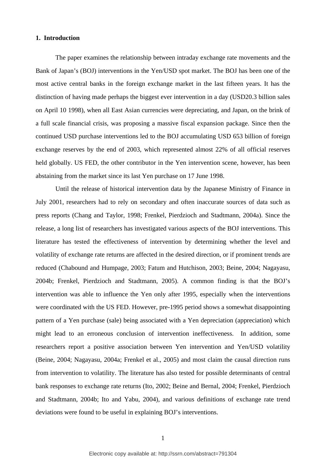#### **1. Introduction**

The paper examines the relationship between intraday exchange rate movements and the Bank of Japan's (BOJ) interventions in the Yen/USD spot market. The BOJ has been one of the most active central banks in the foreign exchange market in the last fifteen years. It has the distinction of having made perhaps the biggest ever intervention in a day (USD20.3 billion sales on April 10 1998), when all East Asian currencies were depreciating, and Japan, on the brink of a full scale financial crisis, was proposing a massive fiscal expansion package. Since then the continued USD purchase interventions led to the BOJ accumulating USD 653 billion of foreign exchange reserves by the end of 2003, which represented almost 22% of all official reserves held globally. US FED, the other contributor in the Yen intervention scene, however, has been abstaining from the market since its last Yen purchase on 17 June 1998.

Until the release of historical intervention data by the Japanese Ministry of Finance in July 2001, researchers had to rely on secondary and often inaccurate sources of data such as press reports (Chang and Taylor, 1998; Frenkel, Pierdzioch and Stadtmann, 2004a). Since the release, a long list of researchers has investigated various aspects of the BOJ interventions. This literature has tested the effectiveness of intervention by determining whether the level and volatility of exchange rate returns are affected in the desired direction, or if prominent trends are reduced (Chabound and Humpage, 2003; Fatum and Hutchison, 2003; Beine, 2004; Nagayasu, 2004b; Frenkel, Pierdzioch and Stadtmann, 2005). A common finding is that the BOJ's intervention was able to influence the Yen only after 1995, especially when the interventions were coordinated with the US FED. However, pre-1995 period shows a somewhat disappointing pattern of a Yen purchase (sale) being associated with a Yen depreciation (appreciation) which might lead to an erroneous conclusion of intervention ineffectiveness. In addition, some researchers report a positive association between Yen intervention and Yen/USD volatility (Beine, 2004; Nagayasu, 2004a; Frenkel et al., 2005) and most claim the causal direction runs from intervention to volatility. The literature has also tested for possible determinants of central bank responses to exchange rate returns (Ito, 2002; Beine and Bernal, 2004; Frenkel, Pierdzioch and Stadtmann, 2004b; Ito and Yabu, 2004), and various definitions of exchange rate trend deviations were found to be useful in explaining BOJ's interventions.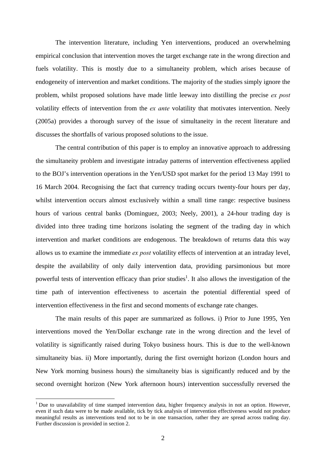The intervention literature, including Yen interventions, produced an overwhelming empirical conclusion that intervention moves the target exchange rate in the wrong direction and fuels volatility. This is mostly due to a simultaneity problem, which arises because of endogeneity of intervention and market conditions. The majority of the studies simply ignore the problem, whilst proposed solutions have made little leeway into distilling the precise *ex post*  volatility effects of intervention from the *ex ante* volatility that motivates intervention. Neely (2005a) provides a thorough survey of the issue of simultaneity in the recent literature and discusses the shortfalls of various proposed solutions to the issue.

The central contribution of this paper is to employ an innovative approach to addressing the simultaneity problem and investigate intraday patterns of intervention effectiveness applied to the BOJ's intervention operations in the Yen/USD spot market for the period 13 May 1991 to 16 March 2004. Recognising the fact that currency trading occurs twenty-four hours per day, whilst intervention occurs almost exclusively within a small time range: respective business hours of various central banks (Dominguez, 2003; Neely, 2001), a 24-hour trading day is divided into three trading time horizons isolating the segment of the trading day in which intervention and market conditions are endogenous. The breakdown of returns data this way allows us to examine the immediate *ex post* volatility effects of intervention at an intraday level, despite the availability of only daily intervention data, providing parsimonious but more powerful tests of intervention efficacy than prior studies<sup>1</sup>. It also allows the investigation of the time path of intervention effectiveness to ascertain the potential differential speed of intervention effectiveness in the first and second moments of exchange rate changes.

 The main results of this paper are summarized as follows. i) Prior to June 1995, Yen interventions moved the Yen/Dollar exchange rate in the wrong direction and the level of volatility is significantly raised during Tokyo business hours. This is due to the well-known simultaneity bias. ii) More importantly, during the first overnight horizon (London hours and New York morning business hours) the simultaneity bias is significantly reduced and by the second overnight horizon (New York afternoon hours) intervention successfully reversed the

<sup>&</sup>lt;sup>1</sup> Due to unavailability of time stamped intervention data, higher frequency analysis in not an option. However, even if such data were to be made available, tick by tick analysis of intervention effectiveness would not produce meaningful results as interventions tend not to be in one transaction, rather they are spread across trading day. Further discussion is provided in section 2.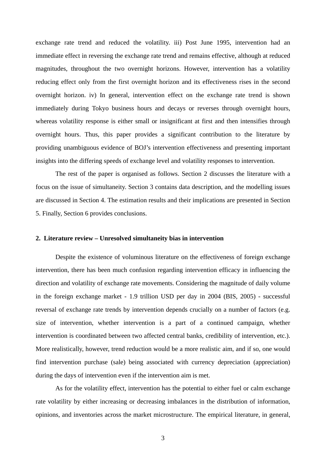exchange rate trend and reduced the volatility. iii) Post June 1995, intervention had an immediate effect in reversing the exchange rate trend and remains effective, although at reduced magnitudes, throughout the two overnight horizons. However, intervention has a volatility reducing effect only from the first overnight horizon and its effectiveness rises in the second overnight horizon. iv) In general, intervention effect on the exchange rate trend is shown immediately during Tokyo business hours and decays or reverses through overnight hours, whereas volatility response is either small or insignificant at first and then intensifies through overnight hours. Thus, this paper provides a significant contribution to the literature by providing unambiguous evidence of BOJ's intervention effectiveness and presenting important insights into the differing speeds of exchange level and volatility responses to intervention.

 The rest of the paper is organised as follows. Section 2 discusses the literature with a focus on the issue of simultaneity. Section 3 contains data description, and the modelling issues are discussed in Section 4. The estimation results and their implications are presented in Section 5. Finally, Section 6 provides conclusions.

#### **2. Literature review – Unresolved simultaneity bias in intervention**

 Despite the existence of voluminous literature on the effectiveness of foreign exchange intervention, there has been much confusion regarding intervention efficacy in influencing the direction and volatility of exchange rate movements. Considering the magnitude of daily volume in the foreign exchange market - 1.9 trillion USD per day in 2004 (BIS, 2005) - successful reversal of exchange rate trends by intervention depends crucially on a number of factors (e.g. size of intervention, whether intervention is a part of a continued campaign, whether intervention is coordinated between two affected central banks, credibility of intervention, etc.). More realistically, however, trend reduction would be a more realistic aim, and if so, one would find intervention purchase (sale) being associated with currency depreciation (appreciation) during the days of intervention even if the intervention aim is met.

 As for the volatility effect, intervention has the potential to either fuel or calm exchange rate volatility by either increasing or decreasing imbalances in the distribution of information, opinions, and inventories across the market microstructure. The empirical literature, in general,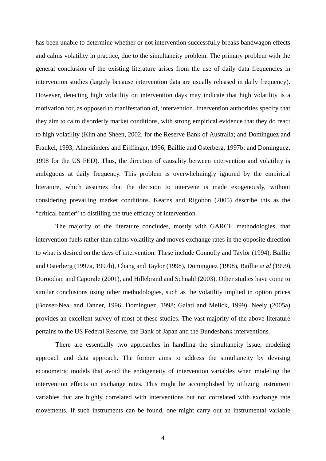has been unable to determine whether or not intervention successfully breaks bandwagon effects and calms volatility in practice, due to the simultaneity problem. The primary problem with the general conclusion of the existing literature arises from the use of daily data frequencies in intervention studies (largely because intervention data are usually released in daily frequency). However, detecting high volatility on intervention days may indicate that high volatility is a motivation for, as opposed to manifestation of, intervention. Intervention authorities specify that they aim to calm disorderly market conditions, with strong empirical evidence that they do react to high volatility (Kim and Sheen, 2002, for the Reserve Bank of Australia; and Dominguez and Frankel, 1993; Almekinders and Eijffinger, 1996; Baillie and Osterberg, 1997b; and Dominguez, 1998 for the US FED). Thus, the direction of causality between intervention and volatility is ambiguous at daily frequency. This problem is overwhelmingly ignored by the empirical literature, which assumes that the decision to intervene is made exogenously, without considering prevailing market conditions. Kearns and Rigobon (2005) describe this as the "critical barrier" to distilling the true efficacy of intervention.

 The majority of the literature concludes, mostly with GARCH methodologies, that intervention fuels rather than calms volatility and moves exchange rates in the opposite direction to what is desired on the days of intervention. These include Connolly and Taylor (1994), Baillie and Osterberg (1997a, 1997b), Chang and Taylor (1998), Dominguez (1998), Baillie *et al* (1999), Doroodian and Caporale (2001), and Hillebrand and Schnabl (2003). Other studies have come to similar conclusions using other methodologies, such as the volatility implied in option prices (Bonser-Neal and Tanner, 1996; Dominguez, 1998; Galati and Melick, 1999). Neely (2005a) provides an excellent survey of most of these studies. The vast majority of the above literature pertains to the US Federal Reserve, the Bank of Japan and the Bundesbank interventions.

 There are essentially two approaches in handling the simultaneity issue, modeling approach and data approach. The former aims to address the simultaneity by devising econometric models that avoid the endogeneity of intervention variables when modeling the intervention effects on exchange rates. This might be accomplished by utilizing instrument variables that are highly correlated with interventions but not correlated with exchange rate movements. If such instruments can be found, one might carry out an instrumental variable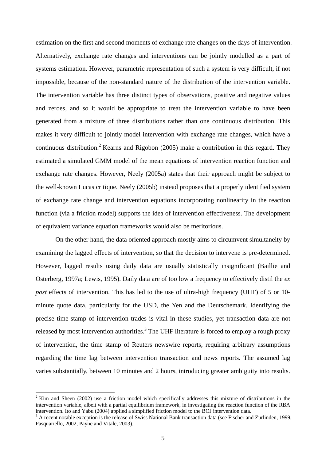estimation on the first and second moments of exchange rate changes on the days of intervention. Alternatively, exchange rate changes and interventions can be jointly modelled as a part of systems estimation. However, parametric representation of such a system is very difficult, if not impossible, because of the non-standard nature of the distribution of the intervention variable. The intervention variable has three distinct types of observations, positive and negative values and zeroes, and so it would be appropriate to treat the intervention variable to have been generated from a mixture of three distributions rather than one continuous distribution. This makes it very difficult to jointly model intervention with exchange rate changes, which have a continuous distribution.<sup>2</sup> Kearns and Rigobon (2005) make a contribution in this regard. They estimated a simulated GMM model of the mean equations of intervention reaction function and exchange rate changes. However, Neely (2005a) states that their approach might be subject to the well-known Lucas critique. Neely (2005b) instead proposes that a properly identified system of exchange rate change and intervention equations incorporating nonlinearity in the reaction function (via a friction model) supports the idea of intervention effectiveness. The development of equivalent variance equation frameworks would also be meritorious.

 On the other hand, the data oriented approach mostly aims to circumvent simultaneity by examining the lagged effects of intervention, so that the decision to intervene is pre-determined. However, lagged results using daily data are usually statistically insignificant (Baillie and Osterberg, 1997a; Lewis, 1995). Daily data are of too low a frequency to effectively distil the *ex post* effects of intervention. This has led to the use of ultra-high frequency (UHF) of 5 or 10minute quote data, particularly for the USD, the Yen and the Deutschemark. Identifying the precise time-stamp of intervention trades is vital in these studies, yet transaction data are not released by most intervention authorities.<sup>3</sup> The UHF literature is forced to employ a rough proxy of intervention, the time stamp of Reuters newswire reports, requiring arbitrary assumptions regarding the time lag between intervention transaction and news reports. The assumed lag varies substantially, between 10 minutes and 2 hours, introducing greater ambiguity into results.

 $2$  Kim and Sheen (2002) use a friction model which specifically addresses this mixture of distributions in the intervention variable, albeit with a partial equilibrium framework, in investigating the reaction function of the RBA intervention. Ito and Yabu (2004) applied a simplified friction model to the BOJ intervention data.

<sup>&</sup>lt;sup>3</sup> A recent notable exception is the release of Swiss National Bank transaction data (see Fischer and Zurlinden, 1999, Pasquariello, 2002, Payne and Vitale, 2003).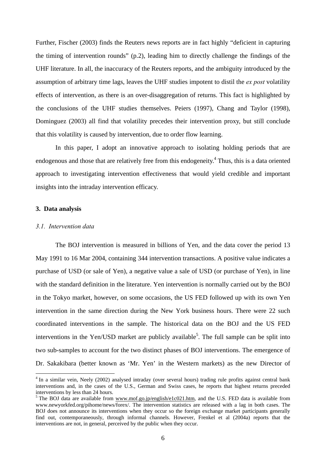Further, Fischer (2003) finds the Reuters news reports are in fact highly "deficient in capturing the timing of intervention rounds" (p.2), leading him to directly challenge the findings of the UHF literature. In all, the inaccuracy of the Reuters reports, and the ambiguity introduced by the assumption of arbitrary time lags, leaves the UHF studies impotent to distil the *ex post* volatility effects of intervention, as there is an over-disaggregation of returns. This fact is highlighted by the conclusions of the UHF studies themselves. Peiers (1997), Chang and Taylor (1998), Dominguez (2003) all find that volatility precedes their intervention proxy, but still conclude that this volatility is caused by intervention, due to order flow learning.

 In this paper, I adopt an innovative approach to isolating holding periods that are endogenous and those that are relatively free from this endogeneity.<sup>4</sup> Thus, this is a data oriented approach to investigating intervention effectiveness that would yield credible and important insights into the intraday intervention efficacy.

#### **3. Data analysis**

1

#### *3.1. Intervention data*

The BOJ intervention is measured in billions of Yen, and the data cover the period 13 May 1991 to 16 Mar 2004, containing 344 intervention transactions. A positive value indicates a purchase of USD (or sale of Yen), a negative value a sale of USD (or purchase of Yen), in line with the standard definition in the literature. Yen intervention is normally carried out by the BOJ in the Tokyo market, however, on some occasions, the US FED followed up with its own Yen intervention in the same direction during the New York business hours. There were 22 such coordinated interventions in the sample. The historical data on the BOJ and the US FED interventions in the Yen/USD market are publicly available<sup>5</sup>. The full sample can be split into two sub-samples to account for the two distinct phases of BOJ interventions. The emergence of Dr. Sakakibara (better known as 'Mr. Yen' in the Western markets) as the new Director of

<sup>&</sup>lt;sup>4</sup> In a similar vein, Neely (2002) analysed intraday (over several hours) trading rule profits against central bank interventions and, in the cases of the U.S., German and Swiss cases, he reports that highest returns preceded interventions by less than 24 hours.

<sup>&</sup>lt;sup>5</sup> The BOJ data are available from www.mof.go.jp/english/e1c021.htm, and the U.S. FED data is available from www.newyorkfed.org/pihome/news/forex/. The intervention statistics are released with a lag in both cases. The BOJ does not announce its interventions when they occur so the foreign exchange market participants generally find out, contemporaneously, through informal channels. However, Frenkel et al (2004a) reports that the interventions are not, in general, perceived by the public when they occur.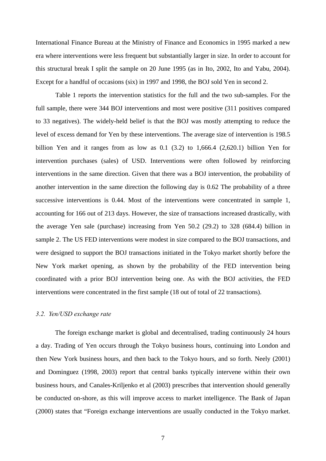International Finance Bureau at the Ministry of Finance and Economics in 1995 marked a new era where interventions were less frequent but substantially larger in size. In order to account for this structural break I split the sample on 20 June 1995 (as in Ito, 2002, Ito and Yabu, 2004). Except for a handful of occasions (six) in 1997 and 1998, the BOJ sold Yen in second 2.

Table 1 reports the intervention statistics for the full and the two sub-samples. For the full sample, there were 344 BOJ interventions and most were positive (311 positives compared to 33 negatives). The widely-held belief is that the BOJ was mostly attempting to reduce the level of excess demand for Yen by these interventions. The average size of intervention is 198.5 billion Yen and it ranges from as low as 0.1 (3.2) to 1,666.4 (2,620.1) billion Yen for intervention purchases (sales) of USD. Interventions were often followed by reinforcing interventions in the same direction. Given that there was a BOJ intervention, the probability of another intervention in the same direction the following day is 0.62 The probability of a three successive interventions is 0.44. Most of the interventions were concentrated in sample 1, accounting for 166 out of 213 days. However, the size of transactions increased drastically, with the average Yen sale (purchase) increasing from Yen 50.2 (29.2) to 328 (684.4) billion in sample 2. The US FED interventions were modest in size compared to the BOJ transactions, and were designed to support the BOJ transactions initiated in the Tokyo market shortly before the New York market opening, as shown by the probability of the FED intervention being coordinated with a prior BOJ intervention being one. As with the BOJ activities, the FED interventions were concentrated in the first sample (18 out of total of 22 transactions).

#### *3.2. Yen/USD exchange rate*

The foreign exchange market is global and decentralised, trading continuously 24 hours a day. Trading of Yen occurs through the Tokyo business hours, continuing into London and then New York business hours, and then back to the Tokyo hours, and so forth. Neely (2001) and Dominguez (1998, 2003) report that central banks typically intervene within their own business hours, and Canales-Kriljenko et al (2003) prescribes that intervention should generally be conducted on-shore, as this will improve access to market intelligence. The Bank of Japan (2000) states that "Foreign exchange interventions are usually conducted in the Tokyo market.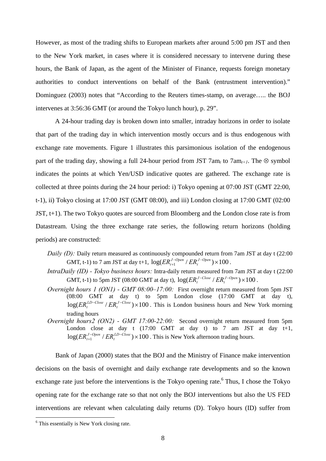However, as most of the trading shifts to European markets after around 5:00 pm JST and then to the New York market, in cases where it is considered necessary to intervene during these hours, the Bank of Japan, as the agent of the Minister of Finance, requests foreign monetary authorities to conduct interventions on behalf of the Bank (entrustment intervention)." Dominguez (2003) notes that "According to the Reuters times-stamp, on average….. the BOJ intervenes at 3:56:36 GMT (or around the Tokyo lunch hour), p. 29".

A 24-hour trading day is broken down into smaller, intraday horizons in order to isolate that part of the trading day in which intervention mostly occurs and is thus endogenous with exchange rate movements. Figure 1 illustrates this parsimonious isolation of the endogenous part of the trading day, showing a full 24-hour period from JST 7am<sub>t</sub> to 7am<sub>t+1</sub>. The  $\otimes$  symbol indicates the points at which Yen/USD indicative quotes are gathered. The exchange rate is collected at three points during the 24 hour period: i) Tokyo opening at 07:00 JST (GMT 22:00, t-1), ii) Tokyo closing at 17:00 JST (GMT 08:00), and iii) London closing at 17:00 GMT (02:00 JST, t+1). The two Tokyo quotes are sourced from Bloomberg and the London close rate is from Datastream. Using the three exchange rate series, the following return horizons (holding periods) are constructed:

- *Daily (D):* Daily return measured as continuously compounded return from 7am JST at day t (22:00) GMT, t-1) to 7 am JST at day t+1,  $\log(ER_{t+1}^{J-Open} / ER_{t}^{J-Open}) \times 100$ *J Open*  $ER_{t+1}^{J-Open}/ER_t^{J-Open}) \times 100$ .
- *IntraDaily (ID) Tokyo business hours:* Intra-daily return measured from 7am JST at day t (22:00 GMT, t-1) to 5pm JST (08:00 GMT at day t),  $log(ER_t^{J-Close} / ER_t^{J-Open}) \times 100$ .
- *Overnight hours 1 (ON1) GMT 08:00–17:00:* First overnight return measured from 5pm JST (08:00 GMT at day t) to 5pm London close (17:00 GMT at day t),  $log(ER_t^{LD-Close}/ER_t^{J-Close}) \times 100$ . This is London business hours and New York morning trading hours
- *Overnight hours2 (ON2) GMT 17:00-22:00:* Second overnight return measured from 5pm London close at day t  $(17:00 \text{ GMT}$  at day t) to 7 am JST at day t+1,  $\log (ER_{t+1}^{J-Open} / ER_{t}^{LD-Close})\times 100$ *LD Close*  $ER_{t+1}^{J-Open} / ER_t^{LD-Close}) \times 100$ . This is New York afternoon trading hours.

Bank of Japan (2000) states that the BOJ and the Ministry of Finance make intervention decisions on the basis of overnight and daily exchange rate developments and so the known exchange rate just before the interventions is the Tokyo opening rate.<sup>6</sup> Thus, I chose the Tokyo opening rate for the exchange rate so that not only the BOJ interventions but also the US FED interventions are relevant when calculating daily returns (D). Tokyo hours (ID) suffer from

<sup>&</sup>lt;sup>6</sup> This essentially is New York closing rate.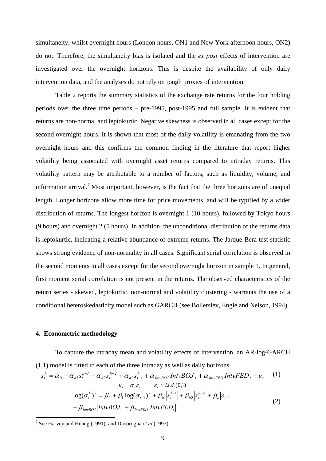simultaneity, whilst overnight hours (London hours, ON1 and New York afternoon hours, ON2) do not. Therefore, the simultaneity bias is isolated and the *ex post* effects of intervention are investigated over the overnight horizons. This is despite the availability of only daily intervention data, and the analyses do not rely on rough proxies of intervention.

Table 2 reports the summary statistics of the exchange rate returns for the four holding periods over the three time periods – pre-1995, post-1995 and full sample. It is evident that returns are non-normal and leptokurtic. Negative skewness is observed in all cases except for the second overnight hours. It is shown that most of the daily volatility is emanating from the two overnight hours and this confirms the common finding in the literature that report higher volatility being associated with overnight asset returns compared to intraday returns. This volatility pattern may be attributable to a number of factors, such as liquidity, volume, and information arrival.<sup>7</sup> Most important, however, is the fact that the three horizons are of unequal length. Longer horizons allow more time for price movements, and will be typified by a wider distribution of returns. The longest horizon is overnight 1 (10 hours), followed by Tokyo hours (9 hours) and overnight 2 (5 hours). In addition, the unconditional distribution of the returns data is leptokurtic, indicating a relative abundance of extreme returns. The Jarque-Bera test statistic shows strong evidence of non-normality in all cases. Significant serial correlation is observed in the second moments in all cases except for the second overnight horizon in sample 1. In general, first moment serial correlation is not present in the returns. The observed characteristics of the return series - skewed, leptokurtic, non-normal and volatility clustering - warrants the use of a conditional heteroskedasticity model such as GARCH (see Bollerslev, Engle and Nelson, 1994).

#### **4. Econometric methodology**

1

To capture the intraday mean and volatility effects of intervention, an AR-log-GARCH (1,1) model is fitted to each of the three intraday as well as daily horizons.

$$
s_t^h = \alpha_0 + \alpha_{h1} s_t^{h-1} + \alpha_{h2} s_t^{h-2} + \alpha_{h3} s_{t-1}^h + \alpha_{IntvBOJ} IntvBOJ_t + \alpha_{IntvFED} IntvFED_t + u_t
$$
 (1)  
\n
$$
u_t = \sigma_t \varepsilon_t \qquad \varepsilon_t \sim i.i.d.(0,1)
$$
\n
$$
\log(\sigma_t^h)^2 = \beta_0 + \beta_1 \log(\sigma_{t-1}^h)^2 + \beta_{h1} \left| s_t^{h-1} \right| + \beta_{h2} \left| s_t^{h-2} \right| + \beta_{\varepsilon} \left| \varepsilon_{t-1} \right|
$$
\n
$$
+ \beta_{IntvBOJ} \left| IntvBOJ_t \right| + \beta_{IntvFED} \left| IntvFED_t \right|
$$
 (2)

<sup>7</sup> See Harvey and Huang (1991), and Dacorogna *et al* (1993).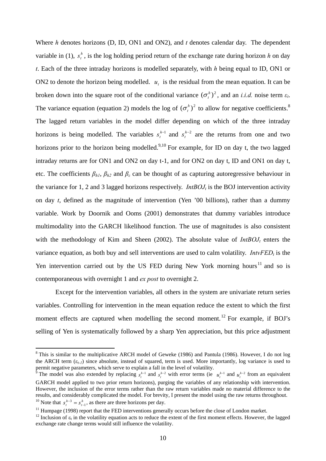Where *h* denotes horizons (D, ID, ON1 and ON2), and *t* denotes calendar day. The dependent variable in (1),  $s_t^h$ , is the log holding period return of the exchange rate during horizon *h* on day *t*. Each of the three intraday horizons is modelled separately, with *h* being equal to ID, ON1 or ON2 to denote the horizon being modelled.  $u_t$  is the residual from the mean equation. It can be broken down into the square root of the conditional variance  $(\sigma_t^h)^2$ , and an *i.i.d.* noise term  $\varepsilon_t$ . The variance equation (equation 2) models the log of  $(\sigma_t^h)^2$  to allow for negative coefficients.<sup>8</sup> The lagged return variables in the model differ depending on which of the three intraday horizons is being modelled. The variables  $s_t^{h-1}$  and  $s_t^{h-2}$  are the returns from one and two horizons prior to the horizon being modelled.<sup>9,10</sup> For example, for ID on day t, the two lagged intraday returns are for ON1 and ON2 on day t-1, and for ON2 on day t, ID and ON1 on day t, etc. The coefficients  $\beta_{h1}$ ,  $\beta_{h2}$  and  $\beta_{\varepsilon}$  can be thought of as capturing autoregressive behaviour in the variance for 1, 2 and 3 lagged horizons respectively. *IntBOJ<sub>t</sub>* is the BOJ intervention activity on day *t*, defined as the magnitude of intervention (Yen '00 billions), rather than a dummy variable. Work by Doornik and Ooms (2001) demonstrates that dummy variables introduce multimodality into the GARCH likelihood function. The use of magnitudes is also consistent with the methodology of Kim and Sheen (2002). The absolute value of  $IntBOJ_t$  enters the variance equation, as both buy and sell interventions are used to calm volatility. *IntvFED<sub>t</sub>* is the Yen intervention carried out by the US FED during New York morning hours<sup>11</sup> and so is contemporaneous with overnight 1 and *ex post* to overnight 2.

 Except for the intervention variables, all others in the system are univariate return series variables. Controlling for intervention in the mean equation reduce the extent to which the first moment effects are captured when modelling the second moment.<sup>12</sup> For example, if BOJ's selling of Yen is systematically followed by a sharp Yen appreciation, but this price adjustment

<sup>&</sup>lt;sup>8</sup> This is similar to the multiplicative ARCH model of Geweke (1986) and Pantula (1986). However, I do not log the ARCH term  $(\varepsilon_{t-1})$  since absolute, instead of squared, term is used. More importantly, log variance is used to permit negative parameters, which serve to explain a fall in the level of volatility.

<sup>&</sup>lt;sup>9</sup> The model was also extended by replacing  $s_t^{h-1}$  and  $s_t^{h-2}$  with error terms (ie  $u_t^{h-1}$  and  $u_t^{h-2}$  from an equivalent GARCH model applied to two prior return horizons), purging the variables of any relationship with intervention. However, the inclusion of the error terms rather than the raw return variables made no material difference to the results, and considerably complicated the model. For brevity, I present the model using the raw returns throughout.  $s_t^{h-3} = s_{t-1}^h$ , as there are three horizons per day.

<sup>&</sup>lt;sup>11</sup> Humpage (1998) report that the FED interventions generally occurs before the close of London market. <sup>12</sup> Inclusion of  $\varepsilon$ <sub>i</sub> in the volatility equation acts to reduce the extent of the first moment effects. Howeve exchange rate change terms would still influence the volatility.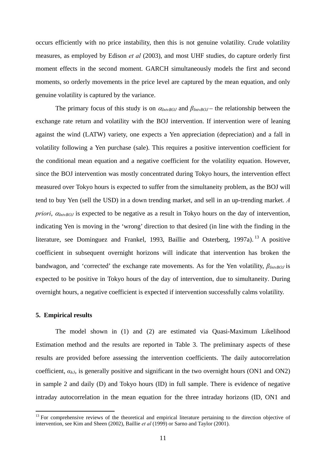occurs efficiently with no price instability, then this is not genuine volatility. Crude volatility measures, as employed by Edison *et al* (2003), and most UHF studies, do capture orderly first moment effects in the second moment. GARCH simultaneously models the first and second moments, so orderly movements in the price level are captured by the mean equation, and only genuine volatility is captured by the variance.

The primary focus of this study is on <sup>α</sup>*IntvBOJ* and *βIntvBOJ* – the relationship between the exchange rate return and volatility with the BOJ intervention. If intervention were of leaning against the wind (LATW) variety, one expects a Yen appreciation (depreciation) and a fall in volatility following a Yen purchase (sale). This requires a positive intervention coefficient for the conditional mean equation and a negative coefficient for the volatility equation. However, since the BOJ intervention was mostly concentrated during Tokyo hours, the intervention effect measured over Tokyo hours is expected to suffer from the simultaneity problem, as the BOJ will tend to buy Yen (sell the USD) in a down trending market, and sell in an up-trending market. *A priori*,  $\alpha_{InvBO}$  is expected to be negative as a result in Tokyo hours on the day of intervention, indicating Yen is moving in the 'wrong' direction to that desired (in line with the finding in the literature, see Dominguez and Frankel, 1993, Baillie and Osterberg, 1997a).<sup>13</sup> A positive coefficient in subsequent overnight horizons will indicate that intervention has broken the bandwagon, and 'corrected' the exchange rate movements. As for the Yen volatility, *βIntvBOJ* is expected to be positive in Tokyo hours of the day of intervention, due to simultaneity. During overnight hours, a negative coefficient is expected if intervention successfully calms volatility.

#### **5. Empirical results**

<u>.</u>

The model shown in (1) and (2) are estimated via Quasi-Maximum Likelihood Estimation method and the results are reported in Table 3. The preliminary aspects of these results are provided before assessing the intervention coefficients. The daily autocorrelation coefficient,  $\alpha_{h3}$ , is generally positive and significant in the two overnight hours (ON1 and ON2) in sample 2 and daily (D) and Tokyo hours (ID) in full sample. There is evidence of negative intraday autocorrelation in the mean equation for the three intraday horizons (ID, ON1 and

<sup>&</sup>lt;sup>13</sup> For comprehensive reviews of the theoretical and empirical literature pertaining to the direction objective of intervention, see Kim and Sheen (2002), Baillie *et al* (1999) or Sarno and Taylor (2001).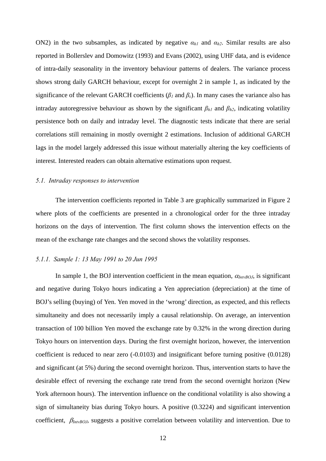ON2) in the two subsamples, as indicated by negative  $\alpha_{h1}$  and  $\alpha_{h2}$ . Similar results are also reported in Bollerslev and Domowitz (1993) and Evans (2002), using UHF data, and is evidence of intra-daily seasonality in the inventory behaviour patterns of dealers. The variance process shows strong daily GARCH behaviour, except for overnight 2 in sample 1, as indicated by the significance of the relevant GARCH coefficients ( $\beta_l$  and  $\beta_\varepsilon$ ). In many cases the variance also has intraday autoregressive behaviour as shown by the significant  $\beta_{h1}$  and  $\beta_{h2}$ , indicating volatility persistence both on daily and intraday level. The diagnostic tests indicate that there are serial correlations still remaining in mostly overnight 2 estimations. Inclusion of additional GARCH lags in the model largely addressed this issue without materially altering the key coefficients of interest. Interested readers can obtain alternative estimations upon request.

#### *5.1. Intraday responses to intervention*

The intervention coefficients reported in Table 3 are graphically summarized in Figure 2 where plots of the coefficients are presented in a chronological order for the three intraday horizons on the days of intervention. The first column shows the intervention effects on the mean of the exchange rate changes and the second shows the volatility responses.

#### *5.1.1. Sample 1: 13 May 1991 to 20 Jun 1995*

In sample 1, the BOJ intervention coefficient in the mean equation,  $\alpha_{InvBOJ}$ , is significant and negative during Tokyo hours indicating a Yen appreciation (depreciation) at the time of BOJ's selling (buying) of Yen. Yen moved in the 'wrong' direction, as expected, and this reflects simultaneity and does not necessarily imply a causal relationship. On average, an intervention transaction of 100 billion Yen moved the exchange rate by 0.32% in the wrong direction during Tokyo hours on intervention days. During the first overnight horizon, however, the intervention coefficient is reduced to near zero (-0.0103) and insignificant before turning positive (0.0128) and significant (at 5%) during the second overnight horizon. Thus, intervention starts to have the desirable effect of reversing the exchange rate trend from the second overnight horizon (New York afternoon hours). The intervention influence on the conditional volatility is also showing a sign of simultaneity bias during Tokyo hours. A positive (0.3224) and significant intervention coefficient, β*IntvBOJ*, suggests a positive correlation between volatility and intervention. Due to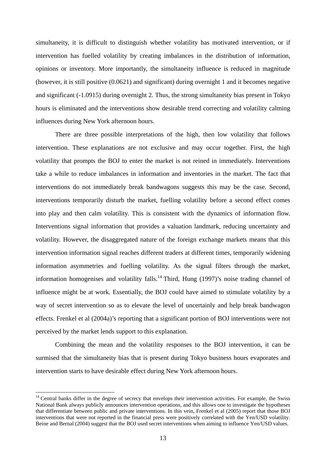simultaneity, it is difficult to distinguish whether volatility has motivated intervention, or if intervention has fuelled volatility by creating imbalances in the distribution of information, opinions or inventory. More importantly, the simultaneity influence is reduced in magnitude (however, it is still positive (0.0621) and significant) during overnight 1 and it becomes negative and significant (-1.0915) during overnight 2. Thus, the strong simultaneity bias present in Tokyo hours is eliminated and the interventions show desirable trend correcting and volatility calming influences during New York afternoon hours.

There are three possible interpretations of the high, then low volatility that follows intervention. These explanations are not exclusive and may occur together. First, the high volatility that prompts the BOJ to enter the market is not reined in immediately. Interventions take a while to reduce imbalances in information and inventories in the market. The fact that interventions do not immediately break bandwagons suggests this may be the case. Second, interventions temporarily disturb the market, fuelling volatility before a second effect comes into play and then calm volatility. This is consistent with the dynamics of information flow. Interventions signal information that provides a valuation landmark, reducing uncertainty and volatility. However, the disaggregated nature of the foreign exchange markets means that this intervention information signal reaches different traders at different times, temporarily widening information asymmetries and fuelling volatility. As the signal filters through the market, information homogenises and volatility falls.<sup>14</sup> Third, Hung (1997)'s noise trading channel of influence might be at work. Essentially, the BOJ could have aimed to stimulate volatility by a way of secret intervention so as to elevate the level of uncertainly and help break bandwagon effects. Frenkel et al (2004a)'s reporting that a significant portion of BOJ interventions were not perceived by the market lends support to this explanation.

Combining the mean and the volatility responses to the BOJ intervention, it can be surmised that the simultaneity bias that is present during Tokyo business hours evaporates and intervention starts to have desirable effect during New York afternoon hours.

 $14$  Central banks differ in the degree of secrecy that envelops their intervention activities. For example, the Swiss National Bank always publicly announces intervention operations, and this allows one to investigate the hypotheses that differentiate between public and private interventions. In this vein, Frenkel et al (2005) report that those BOJ interventions that were not reported in the financial press were positively correlated with the Yen/USD volatility. Beine and Bernal (2004) suggest that the BOJ used secret interventions when aiming to influence Yen/USD values.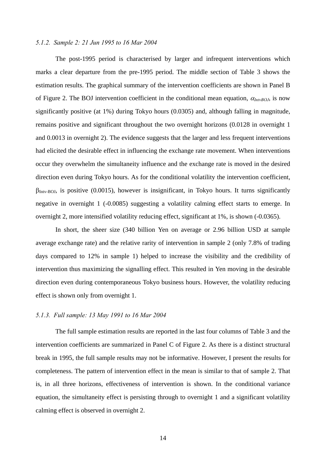#### *5.1.2. Sample 2: 21 Jun 1995 to 16 Mar 2004*

The post-1995 period is characterised by larger and infrequent interventions which marks a clear departure from the pre-1995 period. The middle section of Table 3 shows the estimation results. The graphical summary of the intervention coefficients are shown in Panel B of Figure 2. The BOJ intervention coefficient in the conditional mean equation,  $\alpha_{InvBOJ}$ , is now significantly positive (at 1%) during Tokyo hours (0.0305) and, although falling in magnitude, remains positive and significant throughout the two overnight horizons (0.0128 in overnight 1 and 0.0013 in overnight 2). The evidence suggests that the larger and less frequent interventions had elicited the desirable effect in influencing the exchange rate movement. When interventions occur they overwhelm the simultaneity influence and the exchange rate is moved in the desired direction even during Tokyo hours. As for the conditional volatility the intervention coefficient,  $\beta_{\text{Intv-ROI}}$ , is positive (0.0015), however is insignificant, in Tokyo hours. It turns significantly negative in overnight 1 (-0.0085) suggesting a volatility calming effect starts to emerge. In overnight 2, more intensified volatility reducing effect, significant at 1%, is shown (-0.0365).

In short, the sheer size (340 billion Yen on average or 2.96 billion USD at sample average exchange rate) and the relative rarity of intervention in sample 2 (only 7.8% of trading days compared to 12% in sample 1) helped to increase the visibility and the credibility of intervention thus maximizing the signalling effect. This resulted in Yen moving in the desirable direction even during contemporaneous Tokyo business hours. However, the volatility reducing effect is shown only from overnight 1.

#### *5.1.3. Full sample: 13 May 1991 to 16 Mar 2004*

The full sample estimation results are reported in the last four columns of Table 3 and the intervention coefficients are summarized in Panel C of Figure 2. As there is a distinct structural break in 1995, the full sample results may not be informative. However, I present the results for completeness. The pattern of intervention effect in the mean is similar to that of sample 2. That is, in all three horizons, effectiveness of intervention is shown. In the conditional variance equation, the simultaneity effect is persisting through to overnight 1 and a significant volatility calming effect is observed in overnight 2.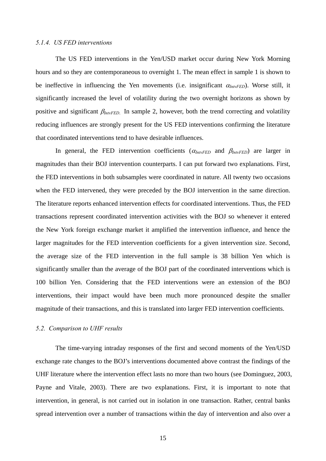#### *5.1.4. US FED interventions*

The US FED interventions in the Yen/USD market occur during New York Morning hours and so they are contemporaneous to overnight 1. The mean effect in sample 1 is shown to be ineffective in influencing the Yen movements (i.e. insignificant  $\alpha_{InvFED}$ ). Worse still, it significantly increased the level of volatility during the two overnight horizons as shown by positive and significant  $\beta_{InvFED}$ . In sample 2, however, both the trend correcting and volatility reducing influences are strongly present for the US FED interventions confirming the literature that coordinated interventions tend to have desirable influences.

In general, the FED intervention coefficients  $(\alpha_{InvFED}$  and  $\beta_{InvFED})$  are larger in magnitudes than their BOJ intervention counterparts. I can put forward two explanations. First, the FED interventions in both subsamples were coordinated in nature. All twenty two occasions when the FED intervened, they were preceded by the BOJ intervention in the same direction. The literature reports enhanced intervention effects for coordinated interventions. Thus, the FED transactions represent coordinated intervention activities with the BOJ so whenever it entered the New York foreign exchange market it amplified the intervention influence, and hence the larger magnitudes for the FED intervention coefficients for a given intervention size. Second, the average size of the FED intervention in the full sample is 38 billion Yen which is significantly smaller than the average of the BOJ part of the coordinated interventions which is 100 billion Yen. Considering that the FED interventions were an extension of the BOJ interventions, their impact would have been much more pronounced despite the smaller magnitude of their transactions, and this is translated into larger FED intervention coefficients.

### *5.2. Comparison to UHF results*

The time-varying intraday responses of the first and second moments of the Yen/USD exchange rate changes to the BOJ's interventions documented above contrast the findings of the UHF literature where the intervention effect lasts no more than two hours (see Dominguez, 2003, Payne and Vitale, 2003). There are two explanations. First, it is important to note that intervention, in general, is not carried out in isolation in one transaction. Rather, central banks spread intervention over a number of transactions within the day of intervention and also over a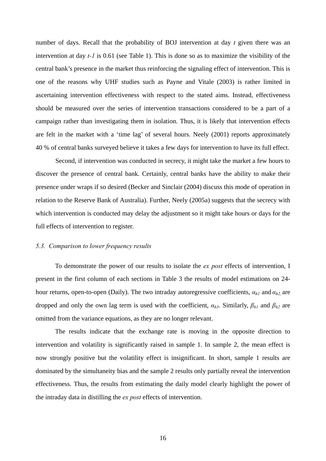number of days. Recall that the probability of BOJ intervention at day *t* given there was an intervention at day *t-1* is 0.61 (see Table 1). This is done so as to maximize the visibility of the central bank's presence in the market thus reinforcing the signaling effect of intervention. This is one of the reasons why UHF studies such as Payne and Vitale (2003) is rather limited in ascertaining intervention effectiveness with respect to the stated aims. Instead, effectiveness should be measured over the series of intervention transactions considered to be a part of a campaign rather than investigating them in isolation. Thus, it is likely that intervention effects are felt in the market with a 'time lag' of several hours. Neely (2001) reports approximately 40 % of central banks surveyed believe it takes a few days for intervention to have its full effect.

Second, if intervention was conducted in secrecy, it might take the market a few hours to discover the presence of central bank. Certainly, central banks have the ability to make their presence under wraps if so desired (Becker and Sinclair (2004) discuss this mode of operation in relation to the Reserve Bank of Australia). Further, Neely (2005a) suggests that the secrecy with which intervention is conducted may delay the adjustment so it might take hours or days for the full effects of intervention to register.

#### *5.3. Comparison to lower frequency results*

To demonstrate the power of our results to isolate the *ex post* effects of intervention, I present in the first column of each sections in Table 3 the results of model estimations on 24 hour returns, open-to-open (Daily). The two intraday autoregressive coefficients, *αh1* and *αh2,* are dropped and only the own lag term is used with the coefficient,  $\alpha_{h3}$ . Similarly,  $\beta_{h1}$  and  $\beta_{h2}$  are omitted from the variance equations, as they are no longer relevant.

The results indicate that the exchange rate is moving in the opposite direction to intervention and volatility is significantly raised in sample 1. In sample 2, the mean effect is now strongly positive but the volatility effect is insignificant. In short, sample 1 results are dominated by the simultaneity bias and the sample 2 results only partially reveal the intervention effectiveness. Thus, the results from estimating the daily model clearly highlight the power of the intraday data in distilling the *ex post* effects of intervention.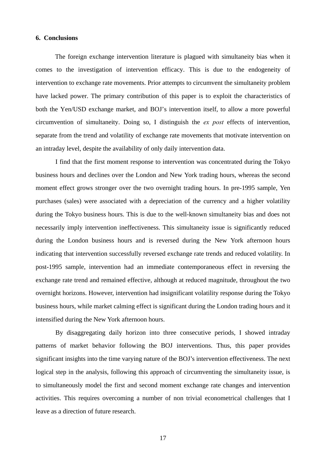#### **6. Conclusions**

 The foreign exchange intervention literature is plagued with simultaneity bias when it comes to the investigation of intervention efficacy. This is due to the endogeneity of intervention to exchange rate movements. Prior attempts to circumvent the simultaneity problem have lacked power. The primary contribution of this paper is to exploit the characteristics of both the Yen/USD exchange market, and BOJ's intervention itself, to allow a more powerful circumvention of simultaneity. Doing so, I distinguish the *ex post* effects of intervention, separate from the trend and volatility of exchange rate movements that motivate intervention on an intraday level, despite the availability of only daily intervention data.

 I find that the first moment response to intervention was concentrated during the Tokyo business hours and declines over the London and New York trading hours, whereas the second moment effect grows stronger over the two overnight trading hours. In pre-1995 sample, Yen purchases (sales) were associated with a depreciation of the currency and a higher volatility during the Tokyo business hours. This is due to the well-known simultaneity bias and does not necessarily imply intervention ineffectiveness. This simultaneity issue is significantly reduced during the London business hours and is reversed during the New York afternoon hours indicating that intervention successfully reversed exchange rate trends and reduced volatility. In post-1995 sample, intervention had an immediate contemporaneous effect in reversing the exchange rate trend and remained effective, although at reduced magnitude, throughout the two overnight horizons. However, intervention had insignificant volatility response during the Tokyo business hours, while market calming effect is significant during the London trading hours and it intensified during the New York afternoon hours.

 By disaggregating daily horizon into three consecutive periods, I showed intraday patterns of market behavior following the BOJ interventions. Thus, this paper provides significant insights into the time varying nature of the BOJ's intervention effectiveness. The next logical step in the analysis, following this approach of circumventing the simultaneity issue, is to simultaneously model the first and second moment exchange rate changes and intervention activities. This requires overcoming a number of non trivial econometrical challenges that I leave as a direction of future research.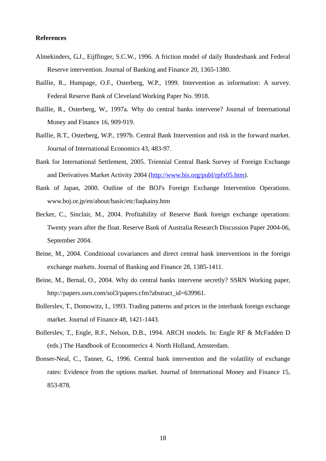#### **References**

- Almekinders, G.J., Eijffinger, S.C.W., 1996. A friction model of daily Bundesbank and Federal Reserve intervention. Journal of Banking and Finance 20, 1365-1380.
- Baillie, R., Humpage, O.F., Osterberg, W.P., 1999. Intervention as information: A survey. Federal Reserve Bank of Cleveland Working Paper No. 9918.
- Baillie, R., Osterberg, W., 1997a. Why do central banks intervene? Journal of International Money and Finance 16, 909-919.
- Baillie, R.T., Osterberg, W.P., 1997b. Central Bank Intervention and risk in the forward market. Journal of International Economics 43, 483-97.
- Bank for International Settlement, 2005. Triennial Central Bank Survey of Foreign Exchange and Derivatives Market Activity 2004 (http://www.bis.org/publ/rpfx05.htm).
- Bank of Japan, 2000. Outline of the BOJ's Foreign Exchange Intervention Operations. www.boj.or.jp/en/about/basic/etc/faqkainy.htm
- Becker, C., Sinclair, M., 2004. Profitability of Reserve Bank foreign exchange operations: Twenty years after the float. Reserve Bank of Australia Research Discussion Paper 2004-06, September 2004.
- Beine, M., 2004. Conditional covariances and direct central bank interventions in the foreign exchange markets. Journal of Banking and Finance 28, 1385-1411.
- Beine, M., Bernal, O., 2004. Why do central banks intervene secretly? SSRN Working paper, http://papers.ssrn.com/sol3/papers.cfm?abstract\_id=639961.
- Bollerslev, T., Domowitz, I., 1993. Trading patterns and prices in the interbank foreign exchange market. Journal of Finance 48, 1421-1443.
- Bollerslev, T., Engle, R.F., Nelson, D.B., 1994. ARCH models. In: Engle RF & McFadden D (eds.) The Handbook of Economterics 4. North Holland, Amsterdam.
- Bonser-Neal, C., Tanner, G., 1996. Central bank intervention and the volatility of exchange rates: Evidence from the options market. Journal of International Money and Finance 15, 853-878.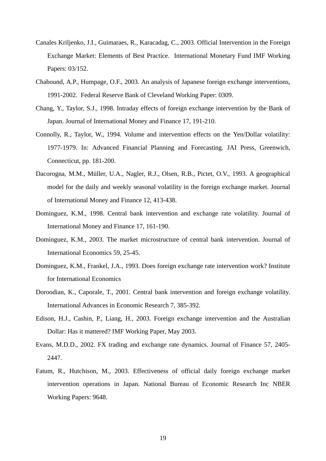- Canales Kriljenko, J.I., Guimaraes, R., Karacadag, C., 2003. Official Intervention in the Foreign Exchange Market: Elements of Best Practice. International Monetary Fund IMF Working Papers: 03/152.
- Chabound, A.P., Humpage, O.F., 2003. An analysis of Japanese foreign exchange interventions, 1991-2002. Federal Reserve Bank of Cleveland Working Paper: 0309.
- Chang, Y., Taylor, S.J., 1998. Intraday effects of foreign exchange intervention by the Bank of Japan. Journal of International Money and Finance 17, 191-210.
- Connolly, R., Taylor, W., 1994. Volume and intervention effects on the Yen/Dollar volatility: 1977-1979. In: Advanced Financial Planning and Forecasting. JAI Press, Greenwich, Connecticut, pp. 181-200.
- Dacorogna, M.M., Müller, U.A., Nagler, R.J., Olsen, R.B., Pictet, O.V., 1993. A geographical model for the daily and weekly seasonal volatility in the foreign exchange market. Journal of International Money and Finance 12, 413-438.
- Dominguez, K.M., 1998. Central bank intervention and exchange rate volatility. Journal of International Money and Finance 17, 161-190.
- Dominguez, K.M., 2003. The market microstructure of central bank intervention. Journal of International Economics 59, 25-45.
- Dominguez, K.M., Frankel, J.A., 1993. Does foreign exchange rate intervention work? Institute for International Economics
- Doroodian, K., Caporale, T., 2001. Central bank intervention and foreign exchange volatility. International Advances in Economic Research 7, 385-392.
- Edison, H.J., Cashin, P., Liang, H., 2003. Foreign exchange intervention and the Australian Dollar: Has it mattered? IMF Working Paper, May 2003.
- Evans, M.D.D., 2002. FX trading and exchange rate dynamics. Journal of Finance 57, 2405- 2447.
- Fatum, R., Hutchison, M., 2003. Effectiveness of official daily foreign exchange market intervention operations in Japan. National Bureau of Economic Research Inc NBER Working Papers: 9648.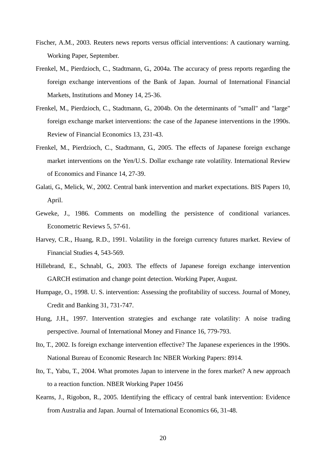- Fischer, A.M., 2003. Reuters news reports versus official interventions: A cautionary warning. Working Paper, September.
- Frenkel, M., Pierdzioch, C., Stadtmann, G., 2004a. The accuracy of press reports regarding the foreign exchange interventions of the Bank of Japan. Journal of International Financial Markets, Institutions and Money 14, 25-36.
- Frenkel, M., Pierdzioch, C., Stadtmann, G., 2004b. On the determinants of "small" and "large" foreign exchange market interventions: the case of the Japanese interventions in the 1990s. Review of Financial Economics 13, 231-43.
- Frenkel, M., Pierdzioch, C., Stadtmann, G., 2005. The effects of Japanese foreign exchange market interventions on the Yen/U.S. Dollar exchange rate volatility. International Review of Economics and Finance 14, 27-39.
- Galati, G., Melick, W., 2002. Central bank intervention and market expectations. BIS Papers 10, April.
- Geweke, J., 1986. Comments on modelling the persistence of conditional variances. Econometric Reviews 5, 57-61.
- Harvey, C.R., Huang, R.D., 1991. Volatility in the foreign currency futures market. Review of Financial Studies 4, 543-569.
- Hillebrand, E., Schnabl, G., 2003. The effects of Japanese foreign exchange intervention GARCH estimation and change point detection. Working Paper, August.
- Humpage, O., 1998. U. S. intervention: Assessing the profitability of success. Journal of Money, Credit and Banking 31, 731-747.
- Hung, J.H., 1997. Intervention strategies and exchange rate volatility: A noise trading perspective. Journal of International Money and Finance 16, 779-793.
- Ito, T., 2002. Is foreign exchange intervention effective? The Japanese experiences in the 1990s. National Bureau of Economic Research Inc NBER Working Papers: 8914.
- Ito, T., Yabu, T., 2004. What promotes Japan to intervene in the forex market? A new approach to a reaction function. NBER Working Paper 10456
- Kearns, J., Rigobon, R., 2005. Identifying the efficacy of central bank intervention: Evidence from Australia and Japan. Journal of International Economics 66, 31-48.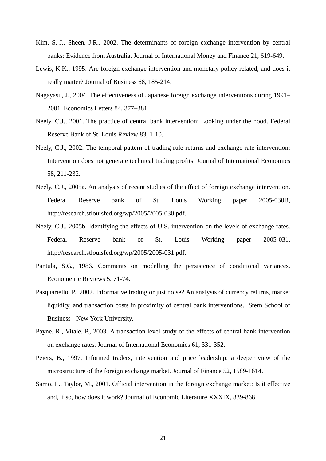- Kim, S.-J., Sheen, J.R., 2002. The determinants of foreign exchange intervention by central banks: Evidence from Australia. Journal of International Money and Finance 21, 619-649.
- Lewis, K.K., 1995. Are foreign exchange intervention and monetary policy related, and does it really matter? Journal of Business 68, 185-214.
- Nagayasu, J., 2004. The effectiveness of Japanese foreign exchange interventions during 1991– 2001. Economics Letters 84, 377–381.
- Neely, C.J., 2001. The practice of central bank intervention: Looking under the hood. Federal Reserve Bank of St. Louis Review 83, 1-10.
- Neely, C.J., 2002. The temporal pattern of trading rule returns and exchange rate intervention: Intervention does not generate technical trading profits. Journal of International Economics 58, 211-232.
- Neely, C.J., 2005a. An analysis of recent studies of the effect of foreign exchange intervention. Federal Reserve bank of St. Louis Working paper 2005-030B, http://research.stlouisfed.org/wp/2005/2005-030.pdf.
- Neely, C.J., 2005b. Identifying the effects of U.S. intervention on the levels of exchange rates. Federal Reserve bank of St. Louis Working paper 2005-031, http://research.stlouisfed.org/wp/2005/2005-031.pdf.
- Pantula, S.G., 1986. Comments on modelling the persistence of conditional variances. Econometric Reviews 5, 71-74.
- Pasquariello, P., 2002. Informative trading or just noise? An analysis of currency returns, market liquidity, and transaction costs in proximity of central bank interventions. Stern School of Business - New York University.
- Payne, R., Vitale, P., 2003. A transaction level study of the effects of central bank intervention on exchange rates. Journal of International Economics 61, 331-352.
- Peiers, B., 1997. Informed traders, intervention and price leadership: a deeper view of the microstructure of the foreign exchange market. Journal of Finance 52, 1589-1614.
- Sarno, L., Taylor, M., 2001. Official intervention in the foreign exchange market: Is it effective and, if so, how does it work? Journal of Economic Literature XXXIX, 839-868.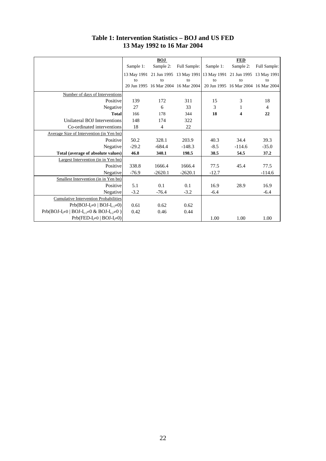|                                                       |           | <b>BOJ</b>     |                                                                         |           | <b>FED</b> |                                     |  |  |
|-------------------------------------------------------|-----------|----------------|-------------------------------------------------------------------------|-----------|------------|-------------------------------------|--|--|
|                                                       | Sample 1: | Sample 2:      | Full Sample:                                                            | Sample 1: | Sample 2:  | Full Sample:                        |  |  |
|                                                       |           |                | 13 May 1991 21 Jun 1995 13 May 1991 13 May 1991 21 Jun 1995 13 May 1991 |           |            |                                     |  |  |
|                                                       | to        | to             | to                                                                      | to        | to         | to                                  |  |  |
|                                                       |           |                | 20 Jun 1995 16 Mar 2004 16 Mar 2004                                     |           |            | 20 Jun 1995 16 Mar 2004 16 Mar 2004 |  |  |
| Number of days of Interventions                       |           |                |                                                                         |           |            |                                     |  |  |
| Positive                                              | 139       | 172            | 311                                                                     | 15        | 3          | 18                                  |  |  |
| Negative                                              | 27        | 6              | 33                                                                      | 3         | 1          | $\overline{4}$                      |  |  |
| <b>Total</b>                                          | 166       | 178            | 344                                                                     | 18        | 4          | 22                                  |  |  |
| Unilateral BOJ Interventions                          | 148       | 174            | 322                                                                     |           |            |                                     |  |  |
| Co-ordinated interventions                            | 18        | $\overline{4}$ | 22                                                                      |           |            |                                     |  |  |
| Average Size of Intervention (in Yen bn)              |           |                |                                                                         |           |            |                                     |  |  |
| Positive                                              | 50.2      | 328.1          | 203.9                                                                   | 40.3      | 34.4       | 39.3                                |  |  |
| Negative                                              | $-29.2$   | $-684.4$       | $-148.3$                                                                | $-8.5$    | $-114.6$   | $-35.0$                             |  |  |
| Total (average of absolute values)                    | 46.8      | 340.1          | 198.5                                                                   | 38.5      | 54.5       | 37.2                                |  |  |
| Largest Intervention (in in Yen bn)                   |           |                |                                                                         |           |            |                                     |  |  |
| Positive                                              | 338.8     | 1666.4         | 1666.4                                                                  | 77.5      | 45.4       | 77.5                                |  |  |
| Negative                                              | $-76.9$   | $-2620.1$      | $-2620.1$                                                               | $-12.7$   |            | $-114.6$                            |  |  |
| Smallest Intervention (in in Yen bn)                  |           |                |                                                                         |           |            |                                     |  |  |
| Positive                                              | 5.1       | 0.1            | 0.1                                                                     | 16.9      | 28.9       | 16.9                                |  |  |
| Negative                                              | $-3.2$    | $-76.4$        | $-3.2$                                                                  | $-6.4$    |            | $-6.4$                              |  |  |
| <b>Cumulative Intervention Probabilities</b>          |           |                |                                                                         |           |            |                                     |  |  |
| $Prb(BOJ-I_t\neq 0   BOJ-I_{t-1}\neq 0)$              | 0.61      | 0.62           | 0.62                                                                    |           |            |                                     |  |  |
| $Prb(BOJ-Ii\neq 0   BOJ-Ii-1\neq 0 & BOJ-Ii-2\neq 0)$ | 0.42      | 0.46           | 0.44                                                                    |           |            |                                     |  |  |
| $Prb(FED-It \neq 0   BOJ-It \neq 0)$                  |           |                |                                                                         | 1.00      | 1.00       | 1.00                                |  |  |

**Table 1: Intervention Statistics – BOJ and US FED 13 May 1992 to 16 Mar 2004**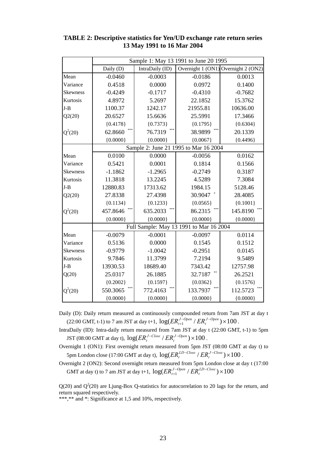|                 | Sample 1: May 13 1991 to June 20 1995 |                 |                                         |                                     |  |  |  |  |  |
|-----------------|---------------------------------------|-----------------|-----------------------------------------|-------------------------------------|--|--|--|--|--|
|                 | Daily (D)                             | IntraDaily (ID) |                                         | Overnight 1 (ON1) Overnight 2 (ON2) |  |  |  |  |  |
| Mean            | $-0.0460$                             | $-0.0003$       | $-0.0186$                               | 0.0013                              |  |  |  |  |  |
| Variance        | 0.4518                                | 0.0000          | 0.0972                                  | 0.1400                              |  |  |  |  |  |
| <b>Skewness</b> | $-0.4249$                             | $-0.1717$       | $-0.4310$                               | $-0.7682$                           |  |  |  |  |  |
| Kurtosis        | 4.8972                                | 5.2697          | 22.1852                                 | 15.3762                             |  |  |  |  |  |
| $J-B$           | 1100.37                               | 1242.17         | 21955.81                                | 10636.00                            |  |  |  |  |  |
| Q2(20)          | 20.6527                               | 15.6636         | 25.5991                                 | 17.3466                             |  |  |  |  |  |
|                 | ${0.4178}$                            | ${0.7373}$      | ${0.1795}$                              | ${0.6304}$                          |  |  |  |  |  |
| $Q^2(20)$       | ***<br>62.8660                        | 76.7319         | 38.9899                                 | 20.1339                             |  |  |  |  |  |
|                 | ${0.0000}$                            | ${0.0000}$      | ${0.0067}$                              | ${0.4496}$                          |  |  |  |  |  |
|                 | Sample 2: June 21 1995 to Mar 16 2004 |                 |                                         |                                     |  |  |  |  |  |
| Mean            | 0.0100                                | 0.0000          | $-0.0056$                               | 0.0162                              |  |  |  |  |  |
| Variance        | 0.5421                                | 0.0001          | 0.1814                                  | 0.1566                              |  |  |  |  |  |
| <b>Skewness</b> | $-1.1862$                             | $-1.2965$       | $-0.2749$                               | 0.3187                              |  |  |  |  |  |
| Kurtosis        | 11.3818                               | 13.2245         | 4.5289                                  | 7.3084                              |  |  |  |  |  |
| $J-B$           | 12880.83                              | 17313.62        | 1984.15                                 | 5128.46                             |  |  |  |  |  |
| Q2(20)          | 27.8338                               | 27.4398         | 30.9047                                 | 28.4085                             |  |  |  |  |  |
|                 | ${0.1134}$                            | ${0.1233}$      | ${0.0565}$                              | ${0.1001}$                          |  |  |  |  |  |
| $Q^2(20)$       | 457.8646                              | 635.2033        | 86.2315                                 | 145.8190                            |  |  |  |  |  |
|                 | ${0.0000}$<br>${0.0000}$              |                 | ${0.0000}$                              | ${0.0000}$                          |  |  |  |  |  |
|                 |                                       |                 | Full Sample: May 13 1991 to Mar 16 2004 |                                     |  |  |  |  |  |
| Mean            | $-0.0079$                             | $-0.0001$       | $-0.0097$                               | 0.0114                              |  |  |  |  |  |
| Variance        | 0.5136                                | 0.0000          | 0.1545                                  | 0.1512                              |  |  |  |  |  |
| <b>Skewness</b> | $-0.9779$                             | $-1.0042$       | $-0.2951$                               | 0.0145                              |  |  |  |  |  |
| Kurtosis        | 9.7846                                | 11.3799         | 7.2194                                  | 9.5489                              |  |  |  |  |  |
| $J-B$           | 13930.53                              | 18689.40        | 7343.42                                 | 12757.98                            |  |  |  |  |  |
| Q(20)           | 25.0317                               | 26.1885         | 32.7187                                 | 26.2521                             |  |  |  |  |  |
|                 | ${0.2002}$                            | ${0.1597}$      | ${0.0362}$                              | ${0.1576}$                          |  |  |  |  |  |
| $Q^2(20)$       | 550.3065                              | 772.4163        | 133.7937                                | 112.5723                            |  |  |  |  |  |
|                 | ${0.0000}$                            | ${0.0000}$      | ${0.0000}$                              | ${0.0000}$                          |  |  |  |  |  |

**TABLE 2: Descriptive statistics for Yen/UD exchange rate return series 13 May 1991 to 16 Mar 2004** 

Daily (D): Daily return measured as continuously compounded return from 7am JST at day t (22:00 GMT, t-1) to 7 am JST at day t+1,  $\log(ER_{t+1}^{J-Open} / ER_{t}^{J-Open}) \times 100$ *J Open*  $ER_{t+1}^{J-Open} / ER_t^{J-Open}) \times 100$ .

IntraDaily (ID): Intra-daily return measured from 7am JST at day t (22:00 GMT, t-1) to 5pm **JST** (08:00 GMT at day t),  $log(ER_t^{J-Close} / ER_t^{J-Open}) \times 100$ .

- Overnight 1 (ON1): First overnight return measured from 5pm JST (08:00 GMT at day t) to 5pm London close (17:00 GMT at day t),  $\log(ER_t^{LD-Close} / ER_t^{J-Close}) \times 100$ .
- Overnight 2 (ON2): Second overnight return measured from 5pm London close at day t (17:00 GMT at day t) to 7 am JST at day t+1,  $\log(ER_{t+1}^{J-Open}$  /  $ER_{t}^{LD-Close}$   $)\times 100$ *LD Close*  $ER_{t+1}^{J-Open}$  /  $ER_{t}$

 $Q(20)$  and  $Q^2(20)$  are Ljung-Box Q-statistics for autocorrelation to 20 lags for the return, and return squared respectively.

\*\*\*,\*\* and \*: Significance at 1,5 and 10%, respectively.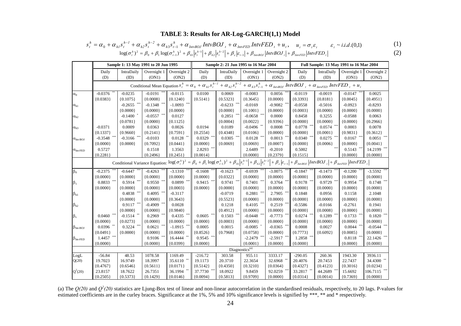### **TABLE 3: Results for AR-Log-GARCH(1,1) Model**

$$
s_t^h = \alpha_0 + \alpha_{h1} s_t^{h-1} + \alpha_{h2} s_t^{h-2} + \alpha_{h3} s_{t-1}^h + \alpha_{InvBOM} IntvBOJ_t + \alpha_{InvFED} IntvFED_t + u_t, \quad u_t = \sigma_t \varepsilon_t \qquad \varepsilon_t \sim i.i.d.(0,1)
$$
  
\n
$$
\log(\sigma_t^h)^2 = \beta_0 + \beta_1 \log(\sigma_{t-1}^h)^2 + \beta_{h1} |s_t^{h-1}| + \beta_{h2} |s_t^{h-2}| + \beta_{\varepsilon} |\varepsilon_{t-1}| + \beta_{InvBOM} [IntvBOJ_t] + \beta_{InvFED} [IntvFED_t] \qquad (2)
$$

|                               | Sample 1: 13 May 1991 to 20 Jun 1995                                                                                                                                                                                                                               |              |               |                        | Sample 2: 21 Jun 1995 to 16 Mar 2004 |              |             | Full Sample: 13 May 1991 to 16 Mar 2004 |              |              |             |             |
|-------------------------------|--------------------------------------------------------------------------------------------------------------------------------------------------------------------------------------------------------------------------------------------------------------------|--------------|---------------|------------------------|--------------------------------------|--------------|-------------|-----------------------------------------|--------------|--------------|-------------|-------------|
|                               | Daily                                                                                                                                                                                                                                                              | IntraDaily   | Overnight 1   | Overnight 2            | Daily                                | IntraDaily   | Overnight 1 | Overnight 2                             | Daily        | IntraDaily   | Overnight 1 | Overnight 2 |
|                               | (D)                                                                                                                                                                                                                                                                | (ID)         | (ON1)         | (ON2)                  | (D)                                  | (ID)         | (ON1)       | (ON2)                                   | (D)          | (ID)         | (ON1)       | (ON2)       |
|                               | Conditional Mean Equation $s_t^h = \alpha_0 + \alpha_{h1} s_t^{h-1} + \alpha_{h2} s_t^{h-2} + \alpha_{h3} s_{t-1}^h + \alpha_{hnbOJ} IntvBOJ_t + \alpha_{hnvED} IntvFED_t + u_t$                                                                                   |              |               |                        |                                      |              |             |                                         |              |              |             |             |
| $\alpha_0$                    | $-0.0376$                                                                                                                                                                                                                                                          | $-0.0235$    | $-0.0191$     | $-0.0115$              | 0.0100                               | 0.0069       | $-0.0083$   | 0.0056                                  | $-0.0119$    | $-0.0019$    | $-0.0147$   | 0.0025      |
|                               | ${0.0383}$                                                                                                                                                                                                                                                         | ${0.1075}$   | ${0.0008}$    | ${0.1240}$             | ${0.5141}$                           | ${0.5323}$   | ${0.3645}$  | ${0.0000}$                              | ${0.3393}$   | ${0.8181}$   | ${0.0045}$  | ${0.4951}$  |
| $\alpha_{h1}$                 |                                                                                                                                                                                                                                                                    | $-0.2655$    | $-0.1348$ *** | $-1.0093$ ***          |                                      | $-0.6233$    | $-0.0169$   | $-0.9082$                               | $-0.0558$    | $-0.5016$    | $-0.0923$   | $-0.8293$   |
|                               |                                                                                                                                                                                                                                                                    | ${0.0000}$   | ${0.0000}$    | ${0.0000}$             |                                      | ${0.0000}$   | ${0.1001}$  | ${0.0000}$                              | ${0.0003}$   | ${0.0000}$   | ${0.0000}$  | ${0.0000}$  |
| $\alpha_{h2}$                 |                                                                                                                                                                                                                                                                    | $-0.1400$    | $-0.0557$ *** | 0.0127                 |                                      | 0.2851       | $-0.0658$   | 0.0000                                  | 0.8458       | 0.3255       | $-0.0588$   | 0.0063      |
|                               |                                                                                                                                                                                                                                                                    | ${0.0781}$   | ${0.0000}$    | ${0.1125}$             |                                      | ${0.0004}$   | ${0.0022}$  | ${0.9396}$                              | ${0.0000}$   | ${0.0000}$   | ${0.0000}$  | ${0.2966}$  |
| $\alpha_{h3}$                 | $-0.0371$                                                                                                                                                                                                                                                          | 0.0009       | 0.0363        | 0.0026                 | 0.0194                               | 0.0189       | $-0.0496$   | 0.0008                                  | $0.0778$ *** | $0.0574$ *** | 0.0003      | 0.0078      |
|                               | ${0.1337}$                                                                                                                                                                                                                                                         | ${0.9660}$   | ${0.2141}$    | ${0.7591}$             | ${0.2554}$                           | ${0.4348}$   | ${0.0106}$  | ${0.0000}$                              | ${0.0000}$   | ${0.0001}$   | ${0.9831}$  | ${0.3612}$  |
| $\alpha_{\rm Int\text{-}BOJ}$ | $-0.3548$                                                                                                                                                                                                                                                          | $-0.3166$    | $-0.0103$     | $0.0128$ **            | $0.0329$ ***                         | 0.0305       | 0.0128      | 0.0013                                  | $0.0340$ *** | $0.0275$ *** | 0.0167      | 0.0051      |
|                               | ${0.0000}$                                                                                                                                                                                                                                                         | ${0.0000}$   | ${0.7092}$    | ${0.0441}$             | ${0.0000}$                           | ${0.0069}$   | ${0.0069}$  | ${0.0007}$                              | ${0.0000}$   | ${0.0006}$   | ${0.0000}$  | ${0.0041}$  |
| $\alpha_{\text{Int-FED}}$     | 0.5727                                                                                                                                                                                                                                                             |              | 0.1518        | 1.3563                 | $2.8293$ ***                         |              | 2.6489      | $-0.2010$                               | 0.5002       |              | 0.5143      | 14.2199     |
|                               | ${0.2281}$                                                                                                                                                                                                                                                         |              | ${0.2496}$    | ${0.2451}$             | ${0.0014}$                           |              | ${0.0000}$  | ${0.2379}$                              | ${0.1515}$   |              | ${0.0000}$  | ${0.0000}$  |
|                               | Conditional Variance Equation: $\log(\sigma_i^h)^2 = \beta_0 + \beta_1 \log(\sigma_{i-1}^h)^2 + \beta_{h1}  s_i^{h-1}  + \beta_{h2}  s_i^{h-2}  + \beta_{\varepsilon}  \varepsilon_{i-1}  + \beta_{Im\,BOJ}  Int \to \beta_{Im\,E_1}  Int \to \beta_{\varepsilon}$ |              |               |                        |                                      |              |             |                                         |              |              |             |             |
| $\beta_0$                     | $-0.2375$                                                                                                                                                                                                                                                          | $-0.6447$    | $-0.4263$     | $-3.1310$              | $-0.1608$                            | $-0.1623$    | $-0.6939$   | $-3.0075$                               | $-0.1847$    | $-0.1473$    | $-0.1200$   | $-3.5592$   |
|                               | ${0.0000}$                                                                                                                                                                                                                                                         | ${0.0000}$   | ${0.0000}$    | ${0.0000}$             | ${0.0000}$                           | ${0.0322}$   | ${0.0000}$  | ${0.0000}$                              | ${0.0000}$   | ${0.0000}$   | ${0.0000}$  | ${0.0000}$  |
| $\beta_1$                     | 0.8833                                                                                                                                                                                                                                                             | 0.5914       | $0.9550$ **   | $0.0899$ <sup>**</sup> | $0.9415$ ***                         | $0.9741$ *** | 0.7401      | 0.3764                                  | $0.9178$ *** | $0.9729$ *** | 0.9954      | 0.1748      |
|                               | ${0.0000}$                                                                                                                                                                                                                                                         | ${0.0000}$   | ${0.0000}$    | ${0.0003}$             | ${0.0000}$                           | ${0.0000}$   | ${0.0000}$  | ${0.0000}$                              | ${0.0000}$   | ${0.0000}$   | ${0.0000}$  | ${0.0000}$  |
| $\beta_{h1}$                  |                                                                                                                                                                                                                                                                    | 0.4838       | 0.4095        | $-0.3117$              |                                      | $-0.0719$    | 0.2881      | 2.7905                                  | 0.1848       | 0.0956       | 0.1158      | 2.1048      |
|                               |                                                                                                                                                                                                                                                                    | ${0.0000}$   | ${0.0000}$    | ${0.3643}$             |                                      | ${0.5523}$   | ${0.0000}$  | ${0.0000}$                              | ${0.0000}$   | ${0.0000}$   | ${0.0000}$  | ${0.0000}$  |
| $\beta_{h2}$                  |                                                                                                                                                                                                                                                                    | 0.9117       | $-0.4909$     | 0.0028                 |                                      | 0.1218       | 0.4105      | 0.2519                                  | $-0.5586$    | $-0.0166$    | $-0.2761$   | 0.1941      |
|                               |                                                                                                                                                                                                                                                                    | ${0.0000}$   | ${0.0000}$    | ${0.9840}$             |                                      | ${0.4912}$   | ${0.0000}$  | ${0.0000}$                              | ${0.0000}$   | ${0.0008}$   | ${0.0000}$  | ${0.0000}$  |
| $\beta_\epsilon$              | $0.0460$ ***                                                                                                                                                                                                                                                       | $-0.1514$ ** | 0.2969        | 0.4335                 | $0.0605$ ***                         | 0.1503       | $-0.0448$   | $-0.7773$                               | $0.0274$ *** | $0.1289$ *** | 0.1733      | 0.1820      |
|                               | ${0.0000}$                                                                                                                                                                                                                                                         | ${0.0273}$   | ${0.0000}$    | ${0.0000}$             | ${0.0000}$                           | ${0.0003}$   | ${0.0000}$  | ${0.0000}$                              | ${0.0000}$   | ${0.0000}$   | ${0.0000}$  | ${0.0000}$  |
| $\beta_{\text{Int-BOJ}}$      | $0.0396$ **                                                                                                                                                                                                                                                        | 0.3224       | 0.0621        | $-1.0915$ ***          | 0.0005                               | 0.0015       | $-0.0085$   | $-0.0365$ **                            | 0.0008       | 0.0027       | 0.0044      | $-0.0544$   |
|                               | ${0.0491}$                                                                                                                                                                                                                                                         | ${0.0000}$   | ${0.0000}$    | ${0.0000}$             | ${0.8526}$                           | ${0.7968}$   | ${0.0758}$  | ${0.0000}$                              | ${0.7773}$   | ${0.6092}$   | ${0.0085}$  | ${0.0000}$  |
| $\beta_{\text{Int-FED}}$      | 1.4457                                                                                                                                                                                                                                                             |              | $0.9106$ **   | 16.4444                | $0.9545$ ***                         |              | $-2.2479$   | $-2.5917$                               | 1.2858       |              | 0.8118      | 22.1426     |
|                               | ${0.0000}$                                                                                                                                                                                                                                                         |              | ${0.0000}$    | ${0.0399}$             | ${0.0000}$                           |              | ${0.0001}$  | ${0.0000}$                              | ${0.0000}$   |              | ${0.0000}$  | ${0.0000}$  |
|                               | Diagnostics <sup>(a)</sup>                                                                                                                                                                                                                                         |              |               |                        |                                      |              |             |                                         |              |              |             |             |
| LogL                          | $-56.84$                                                                                                                                                                                                                                                           | 48.53        | 1078.58       | 1169.49                | $-216.72$                            | 303.58       | 955.11      | 3333.17                                 | $-290.05$    | 260.36       | 1943.30     | 3936.11     |
| Q(20)                         | 19.7023                                                                                                                                                                                                                                                            | 16.9749      | 18.3997       | 35.6110 **             | 19.1173                              | 20.3710      | 22.3654     | 32.6968                                 | 20.4076      | 20.7453      | 22.7437     | 34.4300 *   |
|                               | ${0.4767}$                                                                                                                                                                                                                                                         | ${0.6546}$   | ${0.5611}$    | ${0.0171}$             | ${0.5142}$                           | ${0.4350}$   | ${0.3210}$  | ${0.0364}$                              | ${0.4327}$   | ${0.4123}$   | ${0.3016}$  | ${0.0234}$  |
| $Q^2(20)$                     | 23.8157                                                                                                                                                                                                                                                            | 18.7622      | 26.7351       | 36.1994                | 37.7730                              | 18.0922      | 9.8459      | 92.0259                                 | 33.2817 **   | 44.2689      | 15.6692     | 106.7115    |
|                               | ${0.2505}$                                                                                                                                                                                                                                                         | ${0.5373}$   | ${0.1429}$    | ${0.0146}$             | ${0.0094}$                           | ${0.5813}$   | ${0.9709}$  | ${0.0000}$                              | ${0.0314}$   | ${0.0014}$   | ${0.7369}$  | ${0.0000}$  |

(a) The  $Q(20)$  and  $Q^2(20)$  statistics are Ljung-Box test of linear and non-linear autocorrelation in the standardised residuals, respectively, to 20 lags. P-values for estimated coefficients are in the curley braces. Significance at the 1%, 5% and 10% significance levels is signified by \*\*\*, \*\* and \* respectively.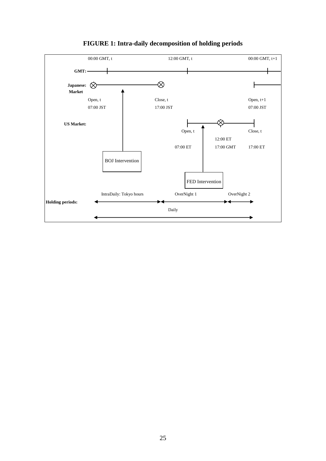

## **FIGURE 1: Intra-daily decomposition of holding periods**